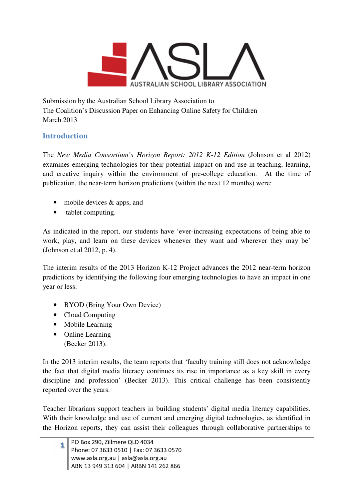

Submission by the Australian School Library Association to The Coalition's Discussion Paper on Enhancing Online Safety for Children March 2013

## **Introduction**

The *New Media Consortium's Horizon Report: 2012 K-12 Edition* (Johnson et al 2012) examines emerging technologies for their potential impact on and use in teaching, learning, and creative inquiry within the environment of pre-college education. At the time of publication, the near-term horizon predictions (within the next 12 months) were:

- mobile devices & apps, and
- tablet computing.

As indicated in the report, our students have 'ever-increasing expectations of being able to work, play, and learn on these devices whenever they want and wherever they may be' (Johnson et al 2012, p. 4).

The interim results of the 2013 Horizon K-12 Project advances the 2012 near-term horizon predictions by identifying the following four emerging technologies to have an impact in one year or less:

- BYOD (Bring Your Own Device)
- Cloud Computing
- Mobile Learning
- Online Learning (Becker 2013).

In the 2013 interim results, the team reports that 'faculty training still does not acknowledge the fact that digital media literacy continues its rise in importance as a key skill in every discipline and profession' (Becker 2013). This critical challenge has been consistently reported over the years.

Teacher librarians support teachers in building students' digital media literacy capabilities. With their knowledge and use of current and emerging digital technologies, as identified in the Horizon reports, they can assist their colleagues through collaborative partnerships to

|  | 1 PO Box 290, Zillmere QLD 4034<br>Phone: 07 3633 0510   Fax: 07 3633 0570    |
|--|-------------------------------------------------------------------------------|
|  |                                                                               |
|  | www.asla.org.au   asla@asla.org.au<br>  ABN 13 949 313 604   ARBN 141 262 866 |
|  |                                                                               |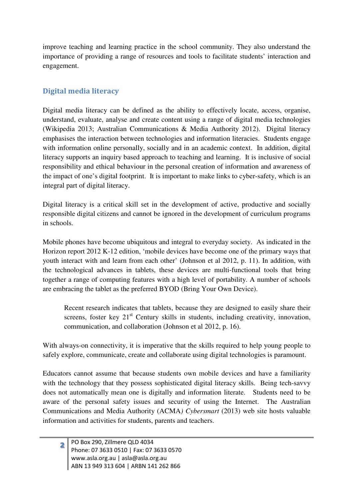improve teaching and learning practice in the school community. They also understand the importance of providing a range of resources and tools to facilitate students' interaction and engagement.

## Digital media literacy

Digital media literacy can be defined as the ability to effectively locate, access, organise, understand, evaluate, analyse and create content using a range of digital media technologies (Wikipedia 2013; Australian Communications & Media Authority 2012). Digital literacy emphasises the interaction between technologies and information literacies. Students engage with information online personally, socially and in an academic context. In addition, digital literacy supports an inquiry based approach to teaching and learning. It is inclusive of social responsibility and ethical behaviour in the personal creation of information and awareness of the impact of one's digital footprint. It is important to make links to cyber-safety, which is an integral part of digital literacy.

Digital literacy is a critical skill set in the development of active, productive and socially responsible digital citizens and cannot be ignored in the development of curriculum programs in schools.

Mobile phones have become ubiquitous and integral to everyday society. As indicated in the Horizon report 2012 K-12 edition, 'mobile devices have become one of the primary ways that youth interact with and learn from each other' (Johnson et al 2012, p. 11). In addition, with the technological advances in tablets, these devices are multi-functional tools that bring together a range of computing features with a high level of portability. A number of schools are embracing the tablet as the preferred BYOD (Bring Your Own Device).

Recent research indicates that tablets, because they are designed to easily share their screens, foster key  $21<sup>st</sup>$  Century skills in students, including creativity, innovation, communication, and collaboration (Johnson et al 2012, p. 16).

With always-on connectivity, it is imperative that the skills required to help young people to safely explore, communicate, create and collaborate using digital technologies is paramount.

Educators cannot assume that because students own mobile devices and have a familiarity with the technology that they possess sophisticated digital literacy skills. Being tech-savvy does not automatically mean one is digitally and information literate. Students need to be aware of the personal safety issues and security of using the Internet. The Australian Communications and Media Authority (ACMA*) Cybersmart* (2013) web site hosts valuable information and activities for students, parents and teachers.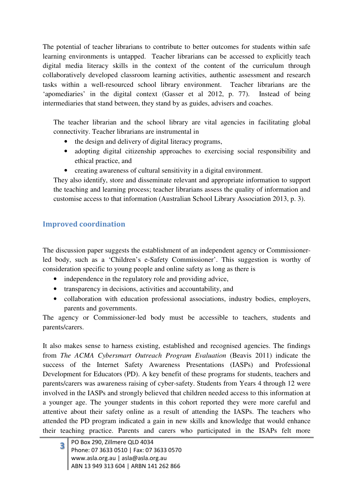The potential of teacher librarians to contribute to better outcomes for students within safe learning environments is untapped. Teacher librarians can be accessed to explicitly teach digital media literacy skills in the context of the content of the curriculum through collaboratively developed classroom learning activities, authentic assessment and research tasks within a well-resourced school library environment. Teacher librarians are the 'apomediaries' in the digital context (Gasser et al 2012, p. 77). Instead of being intermediaries that stand between, they stand by as guides, advisers and coaches.

The teacher librarian and the school library are vital agencies in facilitating global connectivity. Teacher librarians are instrumental in

- the design and delivery of digital literacy programs,
- adopting digital citizenship approaches to exercising social responsibility and ethical practice, and
- creating awareness of cultural sensitivity in a digital environment.

They also identify, store and disseminate relevant and appropriate information to support the teaching and learning process; teacher librarians assess the quality of information and customise access to that information (Australian School Library Association 2013, p. 3).

# Improved coordination

The discussion paper suggests the establishment of an independent agency or Commissionerled body, such as a 'Children's e-Safety Commissioner'. This suggestion is worthy of consideration specific to young people and online safety as long as there is

- independence in the regulatory role and providing advice,
- transparency in decisions, activities and accountability, and
- collaboration with education professional associations, industry bodies, employers, parents and governments.

The agency or Commissioner-led body must be accessible to teachers, students and parents/carers.

It also makes sense to harness existing, established and recognised agencies. The findings from *The ACMA Cybersmart Outreach Program Evaluation* (Beavis 2011) indicate the success of the Internet Safety Awareness Presentations (IASPs) and Professional Development for Educators (PD). A key benefit of these programs for students, teachers and parents/carers was awareness raising of cyber-safety. Students from Years 4 through 12 were involved in the IASPs and strongly believed that children needed access to this information at a younger age. The younger students in this cohort reported they were more careful and attentive about their safety online as a result of attending the IASPs. The teachers who attended the PD program indicated a gain in new skills and knowledge that would enhance their teaching practice. Parents and carers who participated in the ISAPs felt more

|  | 3 PO Box 290, Zillmere QLD 4034<br>Phone: 07 3633 0510   Fax: 07 3633 0570  |
|--|-----------------------------------------------------------------------------|
|  | www.asla.org.au   asla@asla.org.au<br>ABN 13 949 313 604   ARBN 141 262 866 |
|  |                                                                             |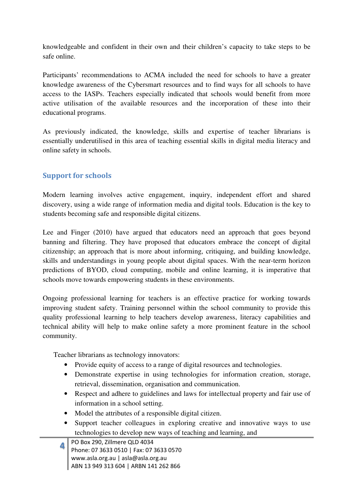knowledgeable and confident in their own and their children's capacity to take steps to be safe online.

Participants' recommendations to ACMA included the need for schools to have a greater knowledge awareness of the Cybersmart resources and to find ways for all schools to have access to the IASPs. Teachers especially indicated that schools would benefit from more active utilisation of the available resources and the incorporation of these into their educational programs.

As previously indicated, the knowledge, skills and expertise of teacher librarians is essentially underutilised in this area of teaching essential skills in digital media literacy and online safety in schools.

## Support for schools

Modern learning involves active engagement, inquiry, independent effort and shared discovery, using a wide range of information media and digital tools. Education is the key to students becoming safe and responsible digital citizens.

Lee and Finger (2010) have argued that educators need an approach that goes beyond banning and filtering. They have proposed that educators embrace the concept of digital citizenship; an approach that is more about informing, critiquing, and building knowledge, skills and understandings in young people about digital spaces. With the near-term horizon predictions of BYOD, cloud computing, mobile and online learning, it is imperative that schools move towards empowering students in these environments.

Ongoing professional learning for teachers is an effective practice for working towards improving student safety. Training personnel within the school community to provide this quality professional learning to help teachers develop awareness, literacy capabilities and technical ability will help to make online safety a more prominent feature in the school community.

Teacher librarians as technology innovators:

- Provide equity of access to a range of digital resources and technologies.
- Demonstrate expertise in using technologies for information creation, storage, retrieval, dissemination, organisation and communication.
- Respect and adhere to guidelines and laws for intellectual property and fair use of information in a school setting.
- Model the attributes of a responsible digital citizen.
- Support teacher colleagues in exploring creative and innovative ways to use technologies to develop new ways of teaching and learning, and

|  | PO Box 290, Zillmere QLD 4034<br>Phone: 07 3633 0510   Fax: 07 3633 0570 |
|--|--------------------------------------------------------------------------|
|  |                                                                          |
|  | www.asla.org.au   asla@asla.org.au                                       |
|  | ABN 13 949 313 604   ARBN 141 262 866                                    |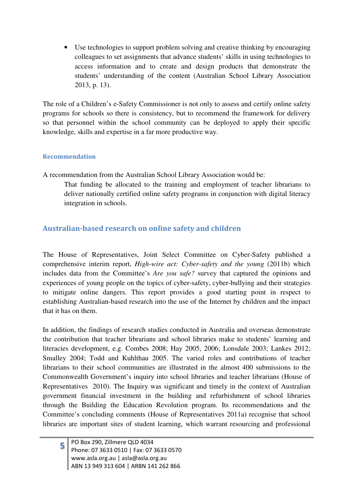• Use technologies to support problem solving and creative thinking by encouraging colleagues to set assignments that advance students' skills in using technologies to access information and to create and design products that demonstrate the students' understanding of the content (Australian School Library Association 2013, p. 13).

The role of a Children's e-Safety Commissioner is not only to assess and certify online safety programs for schools so there is consistency, but to recommend the framework for delivery so that personnel within the school community can be deployed to apply their specific knowledge, skills and expertise in a far more productive way.

#### Recommendation

A recommendation from the Australian School Library Association would be:

That funding be allocated to the training and employment of teacher librarians to deliver nationally certified online safety programs in conjunction with digital literacy integration in schools.

## Australian-based research on online safety and children

The House of Representatives, Joint Select Committee on Cyber-Safety published a comprehensive interim report, *High-wire act: Cyber-safety and the young* (2011b) which includes data from the Committee's *Are you safe?* survey that captured the opinions and experiences of young people on the topics of cyber-safety, cyber-bullying and their strategies to mitigate online dangers. This report provides a good starting point in respect to establishing Australian-based research into the use of the Internet by children and the impact that it has on them.

In addition, the findings of research studies conducted in Australia and overseas demonstrate the contribution that teacher librarians and school libraries make to students' learning and literacies development, e.g. Combes 2008; Hay 2005, 2006; Lonsdale 2003; Lankes 2012; Smalley 2004; Todd and Kuhlthau 2005. The varied roles and contributions of teacher librarians to their school communities are illustrated in the almost 400 submissions to the Commonwealth Government's inquiry into school libraries and teacher librarians (House of Representatives 2010). The Inquiry was significant and timely in the context of Australian government financial investment in the building and refurbishment of school libraries through the Building the Education Revolution program. Its recommendations and the Committee's concluding comments (House of Representatives 2011a) recognise that school libraries are important sites of student learning, which warrant resourcing and professional

|  | 5 PO Box 290, Zillmere QLD 4034<br>Phone: 07 3633 0510   Fax: 07 3633 0570  |
|--|-----------------------------------------------------------------------------|
|  | www.asla.org.au   asla@asla.org.au<br>ABN 13 949 313 604   ARBN 141 262 866 |
|  |                                                                             |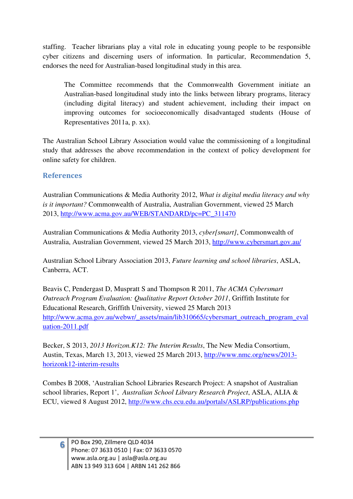staffing. Teacher librarians play a vital role in educating young people to be responsible cyber citizens and discerning users of information. In particular, Recommendation 5, endorses the need for Australian-based longitudinal study in this area.

The Committee recommends that the Commonwealth Government initiate an Australian-based longitudinal study into the links between library programs, literacy (including digital literacy) and student achievement, including their impact on improving outcomes for socioeconomically disadvantaged students (House of Representatives 2011a, p. xx).

The Australian School Library Association would value the commissioning of a longitudinal study that addresses the above recommendation in the context of policy development for online safety for children.

#### References

Australian Communications & Media Authority 2012, *What is digital media literacy and why is it important?* Commonwealth of Australia, Australian Government, viewed 25 March 2013, http://www.acma.gov.au/WEB/STANDARD/pc=PC\_311470

Australian Communications & Media Authority 2013, *cyber[smart]*, Commonwealth of Australia, Australian Government, viewed 25 March 2013, http://www.cybersmart.gov.au/

Australian School Library Association 2013, *Future learning and school libraries*, ASLA, Canberra, ACT.

Beavis C, Pendergast D, Muspratt S and Thompson R 2011, *The ACMA Cybersmart Outreach Program Evaluation: Qualitative Report October 2011*, Griffith Institute for Educational Research, Griffith University, viewed 25 March 2013 http://www.acma.gov.au/webwr/\_assets/main/lib310665/cybersmart\_outreach\_program\_eval uation-2011.pdf

Becker, S 2013, *2013 Horizon.K12: The Interim Results*, The New Media Consortium, Austin, Texas, March 13, 2013, viewed 25 March 2013, http://www.nmc.org/news/2013 horizonk12-interim-results

Combes B 2008, 'Australian School Libraries Research Project: A snapshot of Australian school libraries, Report 1', *Australian School Library Research Project*, ASLA, ALIA & ECU, viewed 8 August 2012, http://www.chs.ecu.edu.au/portals/ASLRP/publications.php

<sup>6</sup>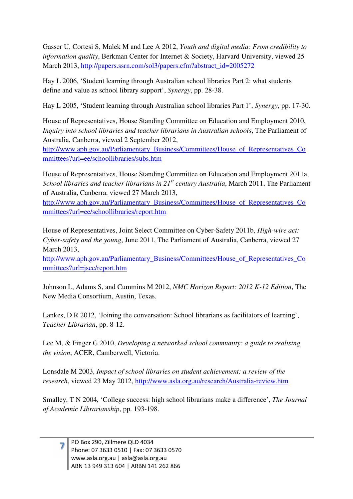Gasser U, Cortesi S, Malek M and Lee A 2012, *Youth and digital media: From credibility to information quality*, Berkman Center for Internet & Society, Harvard University, viewed 25 March 2013, http://papers.ssrn.com/sol3/papers.cfm?abstract\_id=2005272

Hay L 2006, 'Student learning through Australian school libraries Part 2: what students define and value as school library support', *Synergy*, pp. 28-38.

Hay L 2005, 'Student learning through Australian school libraries Part 1', *Synergy*, pp. 17-30.

House of Representatives, House Standing Committee on Education and Employment 2010, *Inquiry into school libraries and teacher librarians in Australian schools*, The Parliament of Australia, Canberra, viewed 2 September 2012,

http://www.aph.gov.au/Parliamentary\_Business/Committees/House\_of\_Representatives\_Co mmittees?url=ee/schoollibraries/subs.htm

House of Representatives, House Standing Committee on Education and Employment 2011a, *School libraries and teacher librarians in 21st century Australia*, March 2011, The Parliament of Australia, Canberra, viewed 27 March 2013,

http://www.aph.gov.au/Parliamentary\_Business/Committees/House\_of\_Representatives\_Co mmittees?url=ee/schoollibraries/report.htm

House of Representatives, Joint Select Committee on Cyber-Safety 2011b, *High-wire act: Cyber-safety and the young*, June 2011, The Parliament of Australia, Canberra, viewed 27 March 2013,

http://www.aph.gov.au/Parliamentary\_Business/Committees/House of Representatives Co mmittees?url=jscc/report.htm

Johnson L, Adams S, and Cummins M 2012, *NMC Horizon Report: 2012 K-12 Edition*, The New Media Consortium, Austin, Texas.

Lankes, D R 2012, 'Joining the conversation: School librarians as facilitators of learning', *Teacher Librarian*, pp. 8-12.

Lee M, & Finger G 2010, *Developing a networked school community: a guide to realising the vision*, ACER, Camberwell, Victoria.

Lonsdale M 2003, *Impact of school libraries on student achievement: a review of the research*, viewed 23 May 2012, http://www.asla.org.au/research/Australia-review.htm

Smalley, T N 2004, 'College success: high school librarians make a difference', *The Journal of Academic Librarianship*, pp. 193-198.

|  | PO Box 290, Zillmere QLD 4034<br>Phone: 07 3633 0510   Fax: 07 3633 0570    |
|--|-----------------------------------------------------------------------------|
|  | www.asla.org.au   asla@asla.org.au<br>ABN 13 949 313 604   ARBN 141 262 866 |
|  |                                                                             |